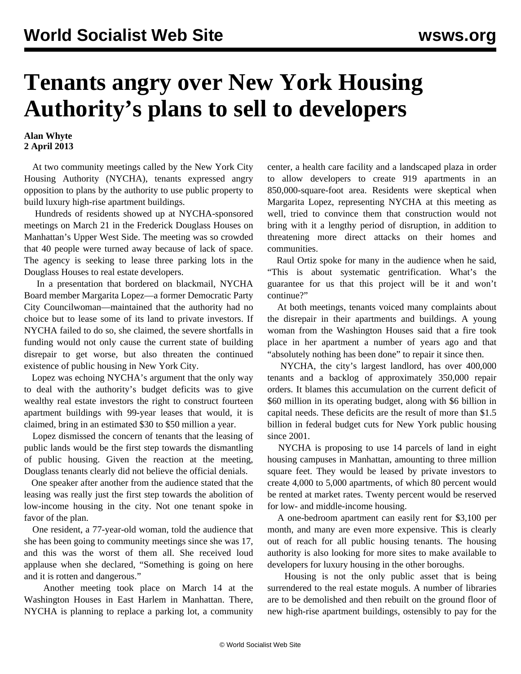## **Tenants angry over New York Housing Authority's plans to sell to developers**

## **Alan Whyte 2 April 2013**

 At two community meetings called by the New York City Housing Authority (NYCHA), tenants expressed angry opposition to plans by the authority to use public property to build luxury high-rise apartment buildings.

 Hundreds of residents showed up at NYCHA-sponsored meetings on March 21 in the Frederick Douglass Houses on Manhattan's Upper West Side. The meeting was so crowded that 40 people were turned away because of lack of space. The agency is seeking to lease three parking lots in the Douglass Houses to real estate developers.

 In a presentation that bordered on blackmail, NYCHA Board member Margarita Lopez—a former Democratic Party City Councilwoman—maintained that the authority had no choice but to lease some of its land to private investors. If NYCHA failed to do so, she claimed, the severe shortfalls in funding would not only cause the current state of building disrepair to get worse, but also threaten the continued existence of public housing in New York City.

 Lopez was echoing NYCHA's argument that the only way to deal with the authority's budget deficits was to give wealthy real estate investors the right to construct fourteen apartment buildings with 99-year leases that would, it is claimed, bring in an estimated \$30 to \$50 million a year.

 Lopez dismissed the concern of tenants that the leasing of public lands would be the first step towards the dismantling of public housing. Given the reaction at the meeting, Douglass tenants clearly did not believe the official denials.

 One speaker after another from the audience stated that the leasing was really just the first step towards the abolition of low-income housing in the city. Not one tenant spoke in favor of the plan.

 One resident, a 77-year-old woman, told the audience that she has been going to community meetings since she was 17, and this was the worst of them all. She received loud applause when she declared, "Something is going on here and it is rotten and dangerous."

 Another meeting took place on March 14 at the Washington Houses in East Harlem in Manhattan. There, NYCHA is planning to replace a parking lot, a community center, a health care facility and a landscaped plaza in order to allow developers to create 919 apartments in an 850,000-square-foot area. Residents were skeptical when Margarita Lopez, representing NYCHA at this meeting as well, tried to convince them that construction would not bring with it a lengthy period of disruption, in addition to threatening more direct attacks on their homes and communities.

 Raul Ortiz spoke for many in the audience when he said, "This is about systematic gentrification. What's the guarantee for us that this project will be it and won't continue?"

 At both meetings, tenants voiced many complaints about the disrepair in their apartments and buildings. A young woman from the Washington Houses said that a fire took place in her apartment a number of years ago and that "absolutely nothing has been done" to repair it since then.

 NYCHA, the city's largest landlord, has over 400,000 tenants and a backlog of approximately 350,000 repair orders. It blames this accumulation on the current deficit of \$60 million in its operating budget, along with \$6 billion in capital needs. These deficits are the result of more than \$1.5 billion in federal budget cuts for New York public housing since 2001.

 NYCHA is proposing to use 14 parcels of land in eight housing campuses in Manhattan, amounting to three million square feet. They would be leased by private investors to create 4,000 to 5,000 apartments, of which 80 percent would be rented at market rates. Twenty percent would be reserved for low- and middle-income housing.

 A one-bedroom apartment can easily rent for \$3,100 per month, and many are even more expensive. This is clearly out of reach for all public housing tenants. The housing authority is also looking for more sites to make available to developers for luxury housing in the other boroughs.

 Housing is not the only public asset that is being surrendered to the real estate moguls. A number of libraries are to be demolished and then rebuilt on the ground floor of new high-rise apartment buildings, ostensibly to pay for the